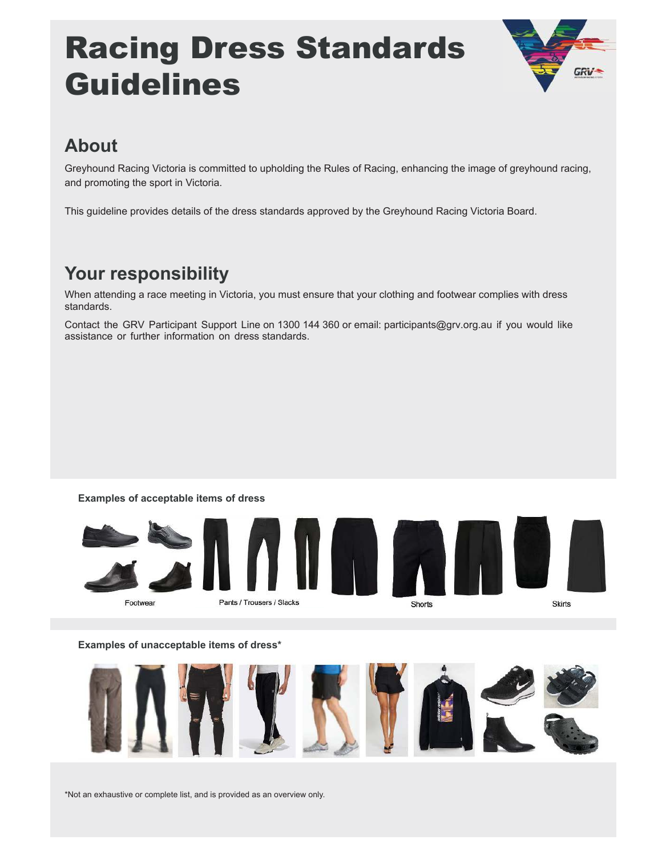# Racing Dress Standards Guidelines



# **About**

Greyhound Racing Victoria is committed to upholding the Rules of Racing, enhancing the image of greyhound racing, and promoting the sport in Victoria.

This guideline provides details of the dress standards approved by the Greyhound Racing Victoria Board.

# **Your responsibility**

When attending a race meeting in Victoria, you must ensure that your clothing and footwear complies with dress standards.

Contact the GRV Participant Support Line on 1300 144 360 or email: participants@grv.org.au if you would like assistance or further information on dress standards.

#### **Examples of acceptable items of dress**



#### **Examples of unacceptable items of dress\***



\*Not an exhaustive or complete list, and is provided as an overview only.